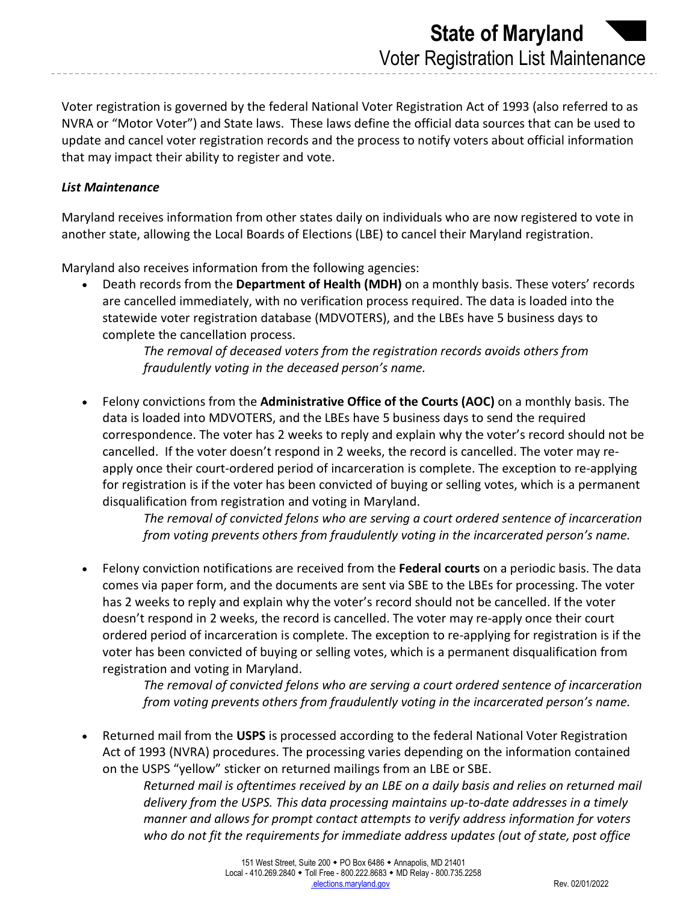Voter registration is governed by the federal National Voter Registration Act of 1993 (also referred to as NVRA or "Motor Voter") and State laws. These laws define the official data sources that can be used to update and cancel voter registration records and the process to notify voters about official information that may impact their ability to register and vote.

## *List Maintenance*

Maryland receives information from other states daily on individuals who are now registered to vote in another state, allowing the Local Boards of Elections (LBE) to cancel their Maryland registration.

Maryland also receives information from the following agencies:

• Death records from the **Department of Health (MDH)** on a monthly basis. These voters' records are cancelled immediately, with no verification process required. The data is loaded into the statewide voter registration database (MDVOTERS), and the LBEs have 5 business days to complete the cancellation process.

> *The removal of deceased voters from the registration records avoids others from fraudulently voting in the deceased person's name.*

• Felony convictions from the **Administrative Office of the Courts (AOC)** on a monthly basis. The data is loaded into MDVOTERS, and the LBEs have 5 business days to send the required correspondence. The voter has 2 weeks to reply and explain why the voter's record should not be cancelled. If the voter doesn't respond in 2 weeks, the record is cancelled. The voter may reapply once their court-ordered period of incarceration is complete. The exception to re-applying for registration is if the voter has been convicted of buying or selling votes, which is a permanent disqualification from registration and voting in Maryland.

> *The removal of convicted felons who are serving a court ordered sentence of incarceration from voting prevents others from fraudulently voting in the incarcerated person's name.*

• Felony conviction notifications are received from the **Federal courts** on a periodic basis. The data comes via paper form, and the documents are sent via SBE to the LBEs for processing. The voter has 2 weeks to reply and explain why the voter's record should not be cancelled. If the voter doesn't respond in 2 weeks, the record is cancelled. The voter may re-apply once their court ordered period of incarceration is complete. The exception to re-applying for registration is if the voter has been convicted of buying or selling votes, which is a permanent disqualification from registration and voting in Maryland.

> *The removal of convicted felons who are serving a court ordered sentence of incarceration from voting prevents others from fraudulently voting in the incarcerated person's name.*

• Returned mail from the **USPS** is processed according to the federal National Voter Registration Act of 1993 (NVRA) procedures. The processing varies depending on the information contained on the USPS "yellow" sticker on returned mailings from an LBE or SBE.

> *Returned mail is oftentimes received by an LBE on a daily basis and relies on returned mail delivery from the USPS. This data processing maintains up-to-date addresses in a timely manner and allows for prompt contact attempts to verify address information for voters who do not fit the requirements for immediate address updates (out of state, post office*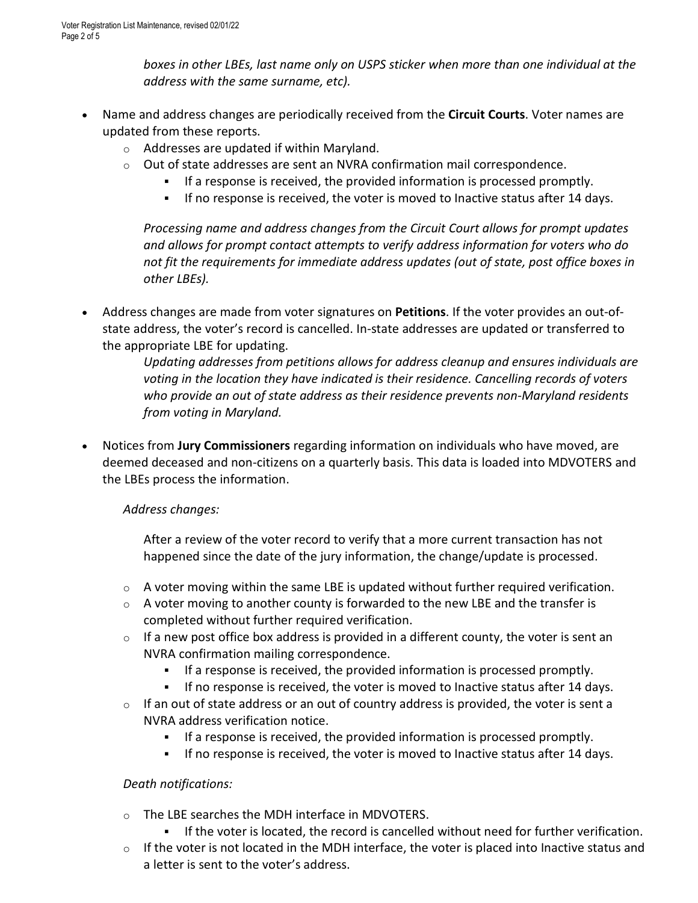*boxes in other LBEs, last name only on USPS sticker when more than one individual at the address with the same surname, etc).*

- Name and address changes are periodically received from the **Circuit Courts**. Voter names are updated from these reports.
	- o Addresses are updated if within Maryland.
	- $\circ$  Out of state addresses are sent an NVRA confirmation mail correspondence.
		- If a response is received, the provided information is processed promptly.
		- If no response is received, the voter is moved to Inactive status after 14 days.

*Processing name and address changes from the Circuit Court allows for prompt updates and allows for prompt contact attempts to verify address information for voters who do not fit the requirements for immediate address updates (out of state, post office boxes in other LBEs).*

• Address changes are made from voter signatures on **Petitions**. If the voter provides an out-ofstate address, the voter's record is cancelled. In-state addresses are updated or transferred to the appropriate LBE for updating.

> *Updating addresses from petitions allows for address cleanup and ensures individuals are voting in the location they have indicated is their residence. Cancelling records of voters who provide an out of state address as their residence prevents non-Maryland residents from voting in Maryland.*

• Notices from **Jury Commissioners** regarding information on individuals who have moved, are deemed deceased and non-citizens on a quarterly basis. This data is loaded into MDVOTERS and the LBEs process the information.

# *Address changes:*

After a review of the voter record to verify that a more current transaction has not happened since the date of the jury information, the change/update is processed.

- $\circ$  A voter moving within the same LBE is updated without further required verification.
- $\circ$  A voter moving to another county is forwarded to the new LBE and the transfer is completed without further required verification.
- $\circ$  If a new post office box address is provided in a different county, the voter is sent an NVRA confirmation mailing correspondence.
	- If a response is received, the provided information is processed promptly.
	- If no response is received, the voter is moved to Inactive status after 14 days.
- $\circ$  If an out of state address or an out of country address is provided, the voter is sent a NVRA address verification notice.
	- If a response is received, the provided information is processed promptly.
	- If no response is received, the voter is moved to Inactive status after 14 days.

# *Death notifications:*

- o The LBE searches the MDH interface in MDVOTERS.
	- If the voter is located, the record is cancelled without need for further verification.
- $\circ$  If the voter is not located in the MDH interface, the voter is placed into Inactive status and a letter is sent to the voter's address.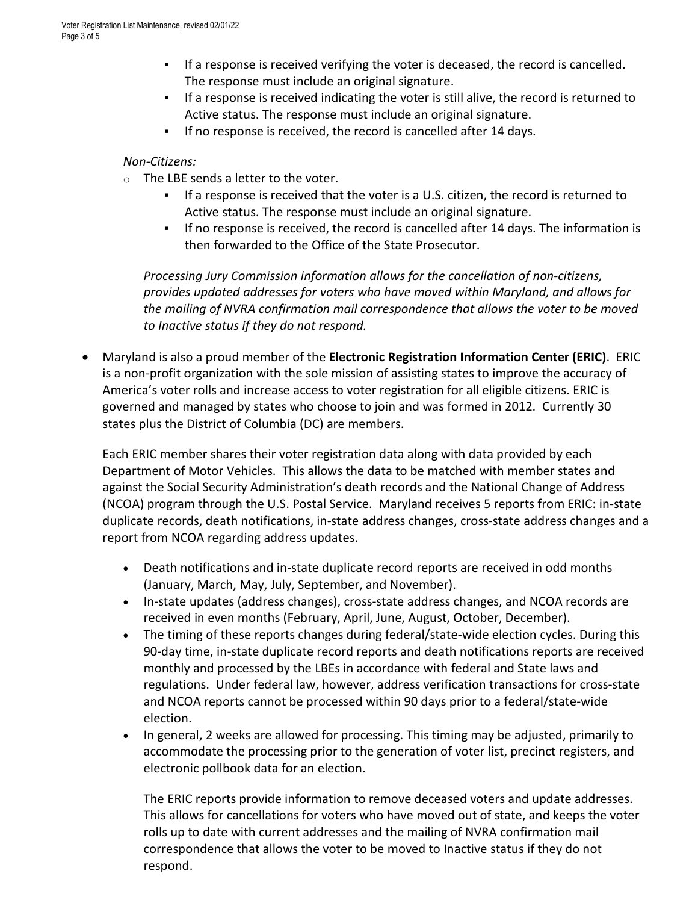- If a response is received verifying the voter is deceased, the record is cancelled. The response must include an original signature.
- If a response is received indicating the voter is still alive, the record is returned to Active status. The response must include an original signature.
- If no response is received, the record is cancelled after 14 days.

### *Non-Citizens:*

- o The LBE sends a letter to the voter.
	- If a response is received that the voter is a U.S. citizen, the record is returned to Active status. The response must include an original signature.
	- If no response is received, the record is cancelled after 14 days. The information is then forwarded to the Office of the State Prosecutor.

*Processing Jury Commission information allows for the cancellation of non-citizens, provides updated addresses for voters who have moved within Maryland, and allows for the mailing of NVRA confirmation mail correspondence that allows the voter to be moved to Inactive status if they do not respond.*

• Maryland is also a proud member of the **Electronic Registration Information Center (ERIC)**. ERIC is a non-profit organization with the sole mission of assisting states to improve the accuracy of America's voter rolls and increase access to voter registration for all eligible citizens. ERIC is governed and managed by states who choose to join and was formed in 2012. Currently 30 states plus the District of Columbia (DC) are members.

Each ERIC member shares their voter registration data along with data provided by each Department of Motor Vehicles. This allows the data to be matched with member states and against the Social Security Administration's death records and the National Change of Address (NCOA) program through the U.S. Postal Service. Maryland receives 5 reports from ERIC: in-state duplicate records, death notifications, in-state address changes, cross-state address changes and a report from NCOA regarding address updates.

- Death notifications and in-state duplicate record reports are received in odd months (January, March, May, July, September, and November).
- In-state updates (address changes), cross-state address changes, and NCOA records are received in even months (February, April, June, August, October, December).
- The timing of these reports changes during federal/state-wide election cycles. During this 90-day time, in-state duplicate record reports and death notifications reports are received monthly and processed by the LBEs in accordance with federal and State laws and regulations. Under federal law, however, address verification transactions for cross-state and NCOA reports cannot be processed within 90 days prior to a federal/state-wide election.
- In general, 2 weeks are allowed for processing. This timing may be adjusted, primarily to accommodate the processing prior to the generation of voter list, precinct registers, and electronic pollbook data for an election.

The ERIC reports provide information to remove deceased voters and update addresses. This allows for cancellations for voters who have moved out of state, and keeps the voter rolls up to date with current addresses and the mailing of NVRA confirmation mail correspondence that allows the voter to be moved to Inactive status if they do not respond.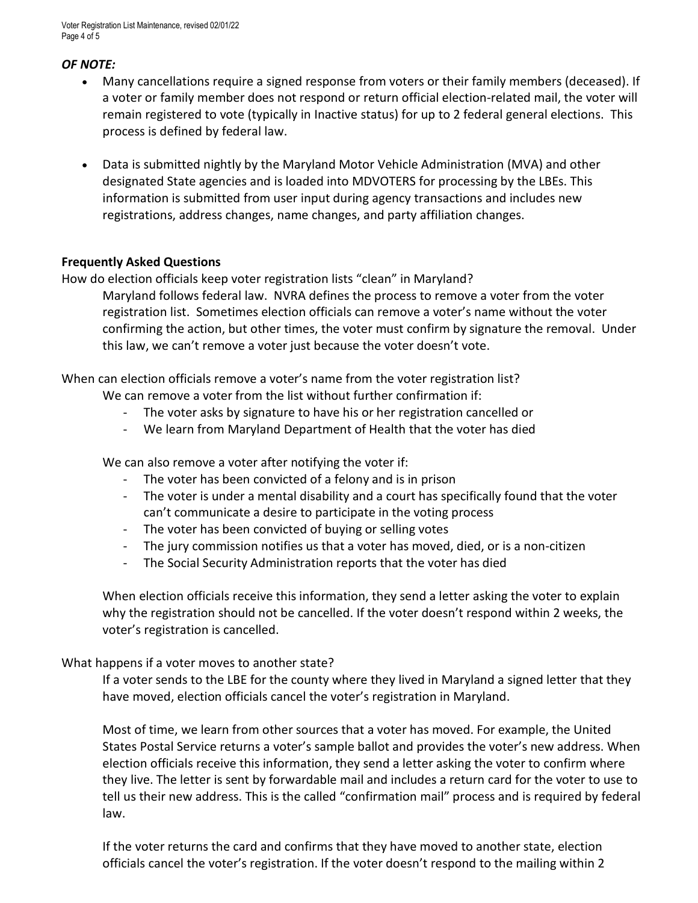Voter Registration List Maintenance, revised 02/01/22 Page 4 of 5

#### *OF NOTE:*

- Many cancellations require a signed response from voters or their family members (deceased). If a voter or family member does not respond or return official election-related mail, the voter will remain registered to vote (typically in Inactive status) for up to 2 federal general elections. This process is defined by federal law.
- Data is submitted nightly by the Maryland Motor Vehicle Administration (MVA) and other designated State agencies and is loaded into MDVOTERS for processing by the LBEs. This information is submitted from user input during agency transactions and includes new registrations, address changes, name changes, and party affiliation changes.

#### **Frequently Asked Questions**

How do election officials keep voter registration lists "clean" in Maryland?

Maryland follows federal law. NVRA defines the process to remove a voter from the voter registration list. Sometimes election officials can remove a voter's name without the voter confirming the action, but other times, the voter must confirm by signature the removal. Under this law, we can't remove a voter just because the voter doesn't vote.

When can election officials remove a voter's name from the voter registration list?

We can remove a voter from the list without further confirmation if:

- The voter asks by signature to have his or her registration cancelled or
- We learn from Maryland Department of Health that the voter has died

We can also remove a voter after notifying the voter if:

- The voter has been convicted of a felony and is in prison
- The voter is under a mental disability and a court has specifically found that the voter can't communicate a desire to participate in the voting process
- The voter has been convicted of buying or selling votes
- The jury commission notifies us that a voter has moved, died, or is a non-citizen
- The Social Security Administration reports that the voter has died

When election officials receive this information, they send a letter asking the voter to explain why the registration should not be cancelled. If the voter doesn't respond within 2 weeks, the voter's registration is cancelled.

### What happens if a voter moves to another state?

If a voter sends to the LBE for the county where they lived in Maryland a signed letter that they have moved, election officials cancel the voter's registration in Maryland.

Most of time, we learn from other sources that a voter has moved. For example, the United States Postal Service returns a voter's sample ballot and provides the voter's new address. When election officials receive this information, they send a letter asking the voter to confirm where they live. The letter is sent by forwardable mail and includes a return card for the voter to use to tell us their new address. This is the called "confirmation mail" process and is required by federal law.

If the voter returns the card and confirms that they have moved to another state, election officials cancel the voter's registration. If the voter doesn't respond to the mailing within 2